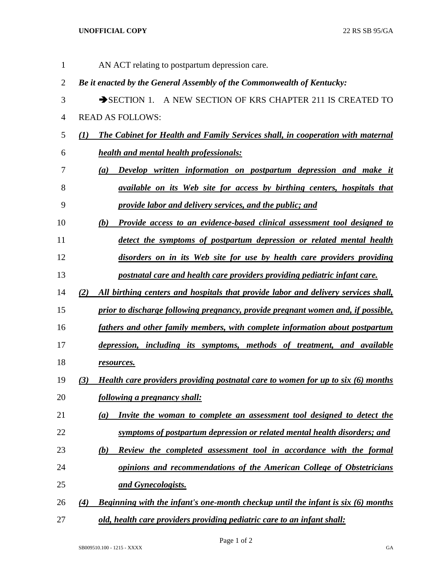## **UNOFFICIAL COPY** 22 RS SB 95/GA

| $\mathbf{1}$   |     | AN ACT relating to postpartum depression care.                                         |
|----------------|-----|----------------------------------------------------------------------------------------|
| $\overline{2}$ |     | Be it enacted by the General Assembly of the Commonwealth of Kentucky:                 |
| 3              |     | SECTION 1. A NEW SECTION OF KRS CHAPTER 211 IS CREATED TO                              |
| $\overline{4}$ |     | <b>READ AS FOLLOWS:</b>                                                                |
| 5              | (1) | <b>The Cabinet for Health and Family Services shall, in cooperation with maternal</b>  |
| 6              |     | <b>health and mental health professionals:</b>                                         |
| 7              |     | Develop written information on postpartum depression and make it<br>(a)                |
| 8              |     | <i>available on its Web site for access by birthing centers, hospitals that</i>        |
| 9              |     | provide labor and delivery services, and the public; and                               |
| 10             |     | <b>Provide access to an evidence-based clinical assessment tool designed to</b><br>(b) |
| 11             |     | detect the symptoms of postpartum depression or related mental health                  |
| 12             |     | disorders on in its Web site for use by health care providers providing                |
| 13             |     | postnatal care and health care providers providing pediatric infant care.              |
| 14             | (2) | All birthing centers and hospitals that provide labor and delivery services shall,     |
| 15             |     | prior to discharge following pregnancy, provide pregnant women and, if possible,       |
| 16             |     | fathers and other family members, with complete information about postpartum           |
| 17             |     | depression, including its symptoms, methods of treatment, and available                |
| 18             |     | resources.                                                                             |
| 19             | (3) | Health care providers providing postnatal care to women for up to six (6) months       |
| 20             |     | following a pregnancy shall:                                                           |
| 21             |     | Invite the woman to complete an assessment tool designed to detect the<br>(a)          |
| 22             |     | symptoms of postpartum depression or related mental health disorders; and              |
| 23             |     | Review the completed assessment tool in accordance with the formal<br>(b)              |
| 24             |     | opinions and recommendations of the American College of Obstetricians                  |
| 25             |     | and Gynecologists.                                                                     |
| 26             | (4) | Beginning with the infant's one-month checkup until the infant is six (6) months       |
| 27             |     | old, health care providers providing pediatric care to an infant shall:                |

Page 1 of 2